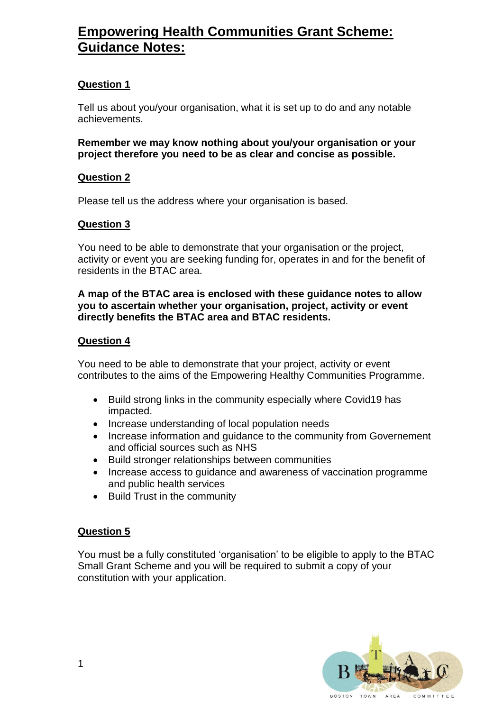# **Empowering Health Communities Grant Scheme: Guidance Notes:**

# **Question 1**

Tell us about you/your organisation, what it is set up to do and any notable achievements.

**Remember we may know nothing about you/your organisation or your project therefore you need to be as clear and concise as possible.**

# **Question 2**

Please tell us the address where your organisation is based.

# **Question 3**

You need to be able to demonstrate that your organisation or the project, activity or event you are seeking funding for, operates in and for the benefit of residents in the BTAC area.

#### **A map of the BTAC area is enclosed with these guidance notes to allow you to ascertain whether your organisation, project, activity or event directly benefits the BTAC area and BTAC residents.**

# **Question 4**

You need to be able to demonstrate that your project, activity or event contributes to the aims of the Empowering Healthy Communities Programme.

- Build strong links in the community especially where Covid19 has impacted.
- Increase understanding of local population needs
- Increase information and quidance to the community from Governement and official sources such as NHS
- Build stronger relationships between communities
- Increase access to quidance and awareness of vaccination programme and public health services
- Build Trust in the community

# **Question 5**

You must be a fully constituted 'organisation' to be eligible to apply to the BTAC Small Grant Scheme and you will be required to submit a copy of your constitution with your application.

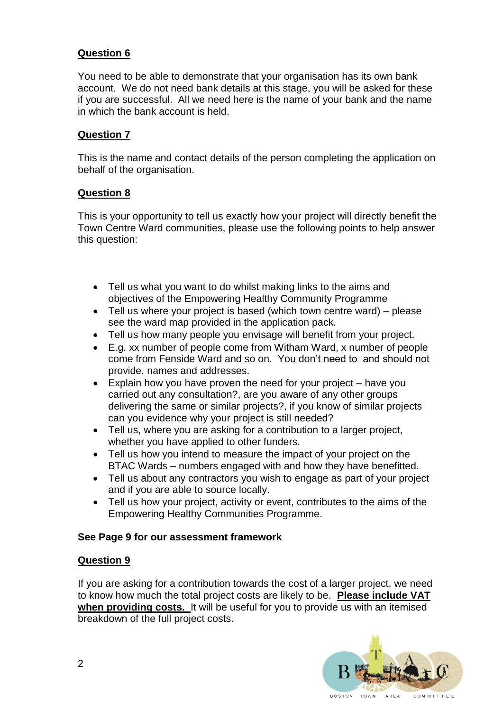# **Question 6**

You need to be able to demonstrate that your organisation has its own bank account. We do not need bank details at this stage, you will be asked for these if you are successful. All we need here is the name of your bank and the name in which the bank account is held.

#### **Question 7**

This is the name and contact details of the person completing the application on behalf of the organisation.

#### **Question 8**

This is your opportunity to tell us exactly how your project will directly benefit the Town Centre Ward communities, please use the following points to help answer this question:

- Tell us what you want to do whilst making links to the aims and objectives of the Empowering Healthy Community Programme
- Tell us where your project is based (which town centre ward) please see the ward map provided in the application pack.
- Tell us how many people you envisage will benefit from your project.
- E.g. xx number of people come from Witham Ward, x number of people come from Fenside Ward and so on. You don't need to and should not provide, names and addresses.
- Explain how you have proven the need for your project have you carried out any consultation?, are you aware of any other groups delivering the same or similar projects?, if you know of similar projects can you evidence why your project is still needed?
- Tell us, where you are asking for a contribution to a larger project, whether you have applied to other funders.
- Tell us how you intend to measure the impact of your project on the BTAC Wards – numbers engaged with and how they have benefitted.
- Tell us about any contractors you wish to engage as part of your project and if you are able to source locally.
- Tell us how your project, activity or event, contributes to the aims of the Empowering Healthy Communities Programme.

#### **See Page 9 for our assessment framework**

# **Question 9**

If you are asking for a contribution towards the cost of a larger project, we need to know how much the total project costs are likely to be. **Please include VAT when providing costs.** It will be useful for you to provide us with an itemised breakdown of the full project costs.

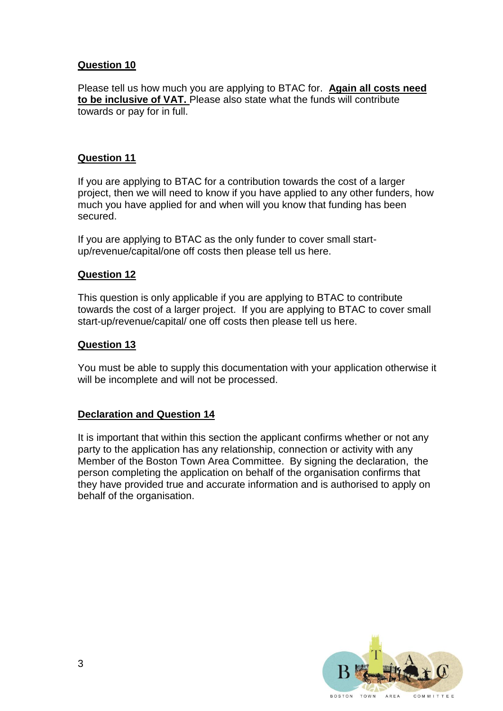# **Question 10**

Please tell us how much you are applying to BTAC for. **Again all costs need to be inclusive of VAT.** Please also state what the funds will contribute towards or pay for in full.

#### **Question 11**

If you are applying to BTAC for a contribution towards the cost of a larger project, then we will need to know if you have applied to any other funders, how much you have applied for and when will you know that funding has been secured.

If you are applying to BTAC as the only funder to cover small startup/revenue/capital/one off costs then please tell us here.

#### **Question 12**

This question is only applicable if you are applying to BTAC to contribute towards the cost of a larger project. If you are applying to BTAC to cover small start-up/revenue/capital/ one off costs then please tell us here.

#### **Question 13**

You must be able to supply this documentation with your application otherwise it will be incomplete and will not be processed.

# **Declaration and Question 14**

It is important that within this section the applicant confirms whether or not any party to the application has any relationship, connection or activity with any Member of the Boston Town Area Committee. By signing the declaration, the person completing the application on behalf of the organisation confirms that they have provided true and accurate information and is authorised to apply on behalf of the organisation.

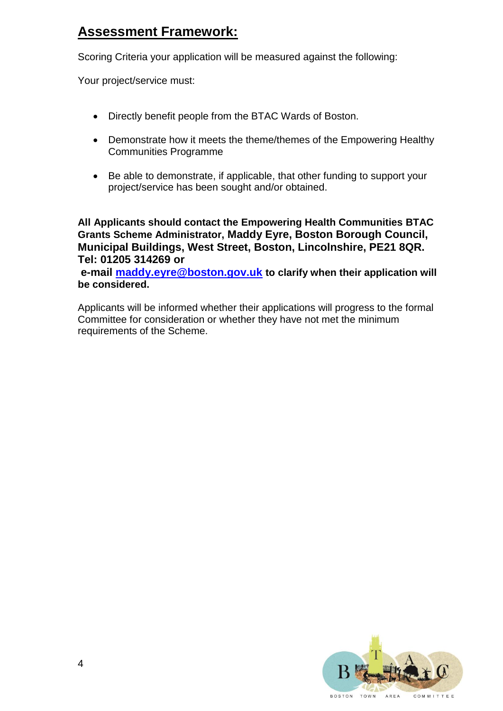# **Assessment Framework:**

Scoring Criteria your application will be measured against the following:

Your project/service must:

- Directly benefit people from the BTAC Wards of Boston.
- Demonstrate how it meets the theme/themes of the Empowering Healthy Communities Programme
- Be able to demonstrate, if applicable, that other funding to support your project/service has been sought and/or obtained.

**All Applicants should contact the Empowering Health Communities BTAC Grants Scheme Administrator, Maddy Eyre, Boston Borough Council, Municipal Buildings, West Street, Boston, Lincolnshire, PE21 8QR. Tel: 01205 314269 or**

**e-mail [maddy.eyre@boston.gov.uk](mailto:maddy.eyre@boston.gov.uk) to clarify when their application will be considered.** 

Applicants will be informed whether their applications will progress to the formal Committee for consideration or whether they have not met the minimum requirements of the Scheme.